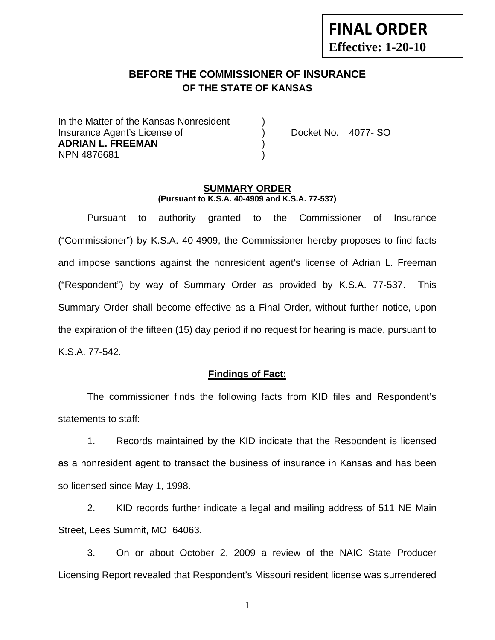# **FINAL ORDER Effective: 1-20-10**

# **BEFORE THE COMMISSIONER OF INSURANCE OF THE STATE OF KANSAS**

In the Matter of the Kansas Nonresident Insurance Agent's License of ) Docket No. 4077- SO **ADRIAN L. FREEMAN** ) NPN 4876681 )

#### **SUMMARY ORDER (Pursuant to K.S.A. 40-4909 and K.S.A. 77-537)**

 Pursuant to authority granted to the Commissioner of Insurance ("Commissioner") by K.S.A. 40-4909, the Commissioner hereby proposes to find facts and impose sanctions against the nonresident agent's license of Adrian L. Freeman ("Respondent") by way of Summary Order as provided by K.S.A. 77-537. This Summary Order shall become effective as a Final Order, without further notice, upon the expiration of the fifteen (15) day period if no request for hearing is made, pursuant to K.S.A. 77-542.

#### **Findings of Fact:**

 The commissioner finds the following facts from KID files and Respondent's statements to staff:

 1. Records maintained by the KID indicate that the Respondent is licensed as a nonresident agent to transact the business of insurance in Kansas and has been so licensed since May 1, 1998.

 2. KID records further indicate a legal and mailing address of 511 NE Main Street, Lees Summit, MO 64063.

 3. On or about October 2, 2009 a review of the NAIC State Producer Licensing Report revealed that Respondent's Missouri resident license was surrendered

1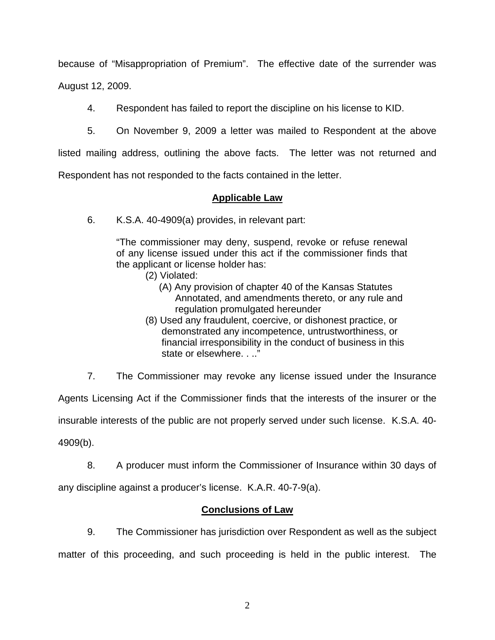because of "Misappropriation of Premium". The effective date of the surrender was August 12, 2009.

4. Respondent has failed to report the discipline on his license to KID.

5. On November 9, 2009 a letter was mailed to Respondent at the above

listed mailing address, outlining the above facts. The letter was not returned and

Respondent has not responded to the facts contained in the letter.

### **Applicable Law**

6. K.S.A. 40-4909(a) provides, in relevant part:

"The commissioner may deny, suspend, revoke or refuse renewal of any license issued under this act if the commissioner finds that the applicant or license holder has:

- (2) Violated:
	- (A) Any provision of chapter 40 of the Kansas Statutes Annotated, and amendments thereto, or any rule and regulation promulgated hereunder
- (8) Used any fraudulent, coercive, or dishonest practice, or demonstrated any incompetence, untrustworthiness, or financial irresponsibility in the conduct of business in this state or elsewhere. . .."

7. The Commissioner may revoke any license issued under the Insurance

Agents Licensing Act if the Commissioner finds that the interests of the insurer or the

insurable interests of the public are not properly served under such license. K.S.A. 40-

4909(b).

 8. A producer must inform the Commissioner of Insurance within 30 days of any discipline against a producer's license. K.A.R. 40-7-9(a).

### **Conclusions of Law**

 9. The Commissioner has jurisdiction over Respondent as well as the subject matter of this proceeding, and such proceeding is held in the public interest. The

2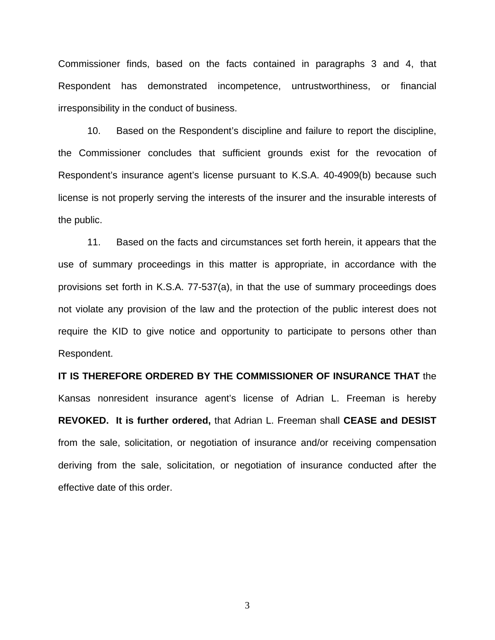Commissioner finds, based on the facts contained in paragraphs 3 and 4, that Respondent has demonstrated incompetence, untrustworthiness, or financial irresponsibility in the conduct of business.

 10. Based on the Respondent's discipline and failure to report the discipline, the Commissioner concludes that sufficient grounds exist for the revocation of Respondent's insurance agent's license pursuant to K.S.A. 40-4909(b) because such license is not properly serving the interests of the insurer and the insurable interests of the public.

 11. Based on the facts and circumstances set forth herein, it appears that the use of summary proceedings in this matter is appropriate, in accordance with the provisions set forth in K.S.A. 77-537(a), in that the use of summary proceedings does not violate any provision of the law and the protection of the public interest does not require the KID to give notice and opportunity to participate to persons other than Respondent.

**IT IS THEREFORE ORDERED BY THE COMMISSIONER OF INSURANCE THAT** the Kansas nonresident insurance agent's license of Adrian L. Freeman is hereby **REVOKED. It is further ordered,** that Adrian L. Freeman shall **CEASE and DESIST** from the sale, solicitation, or negotiation of insurance and/or receiving compensation deriving from the sale, solicitation, or negotiation of insurance conducted after the effective date of this order.

3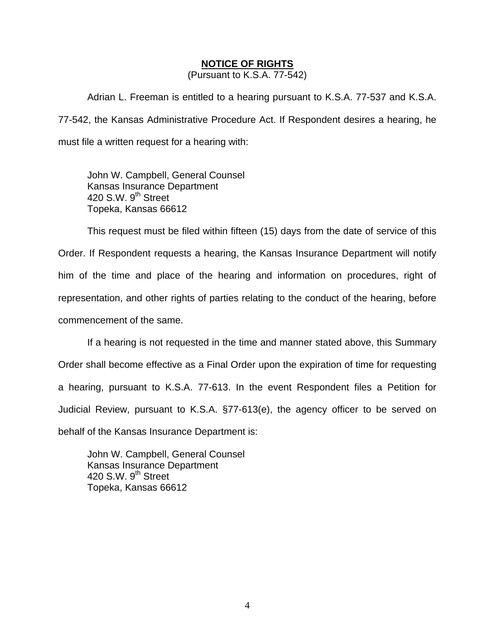#### **NOTICE OF RIGHTS**

(Pursuant to K.S.A. 77-542)

Adrian L. Freeman is entitled to a hearing pursuant to K.S.A. 77-537 and K.S.A. 77-542, the Kansas Administrative Procedure Act. If Respondent desires a hearing, he must file a written request for a hearing with:

 John W. Campbell, General Counsel Kansas Insurance Department 420 S.W. 9<sup>th</sup> Street Topeka, Kansas 66612

This request must be filed within fifteen (15) days from the date of service of this Order. If Respondent requests a hearing, the Kansas Insurance Department will notify him of the time and place of the hearing and information on procedures, right of representation, and other rights of parties relating to the conduct of the hearing, before commencement of the same.

If a hearing is not requested in the time and manner stated above, this Summary Order shall become effective as a Final Order upon the expiration of time for requesting a hearing, pursuant to K.S.A. 77-613. In the event Respondent files a Petition for Judicial Review, pursuant to K.S.A. §77-613(e), the agency officer to be served on behalf of the Kansas Insurance Department is:

 John W. Campbell, General Counsel Kansas Insurance Department 420 S.W.  $9<sup>th</sup>$  Street Topeka, Kansas 66612